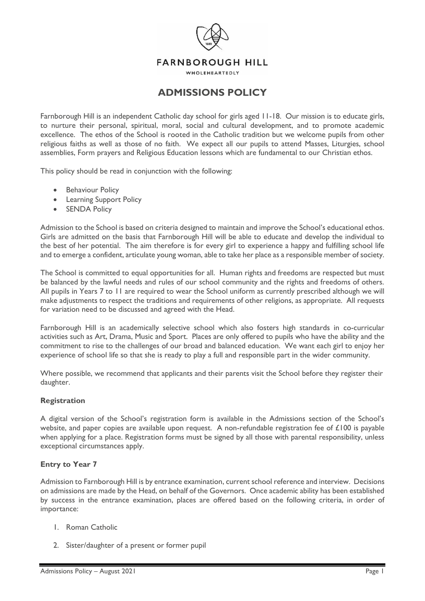

# **ADMISSIONS POLICY**

Farnborough Hill is an independent Catholic day school for girls aged 11-18. Our mission is to educate girls, to nurture their personal, spiritual, moral, social and cultural development, and to promote academic excellence. The ethos of the School is rooted in the Catholic tradition but we welcome pupils from other religious faiths as well as those of no faith. We expect all our pupils to attend Masses, Liturgies, school assemblies, Form prayers and Religious Education lessons which are fundamental to our Christian ethos.

This policy should be read in conjunction with the following:

- **Behaviour Policy**
- Learning Support Policy
- SENDA Policy

Admission to the School is based on criteria designed to maintain and improve the School's educational ethos. Girls are admitted on the basis that Farnborough Hill will be able to educate and develop the individual to the best of her potential. The aim therefore is for every girl to experience a happy and fulfilling school life and to emerge a confident, articulate young woman, able to take her place as a responsible member of society.

The School is committed to equal opportunities for all. Human rights and freedoms are respected but must be balanced by the lawful needs and rules of our school community and the rights and freedoms of others. All pupils in Years 7 to 11 are required to wear the School uniform as currently prescribed although we will make adjustments to respect the traditions and requirements of other religions, as appropriate. All requests for variation need to be discussed and agreed with the Head.

Farnborough Hill is an academically selective school which also fosters high standards in co-curricular activities such as Art, Drama, Music and Sport. Places are only offered to pupils who have the ability and the commitment to rise to the challenges of our broad and balanced education. We want each girl to enjoy her experience of school life so that she is ready to play a full and responsible part in the wider community.

Where possible, we recommend that applicants and their parents visit the School before they register their daughter.

#### **Registration**

A digital version of the School's registration form is available in the Admissions section of the School's website, and paper copies are available upon request. A non-refundable registration fee of £100 is payable when applying for a place. Registration forms must be signed by all those with parental responsibility, unless exceptional circumstances apply.

## **Entry to Year 7**

Admission to Farnborough Hill is by entrance examination, current school reference and interview. Decisions on admissions are made by the Head, on behalf of the Governors. Once academic ability has been established by success in the entrance examination, places are offered based on the following criteria, in order of importance:

- 1. Roman Catholic
- 2. Sister/daughter of a present or former pupil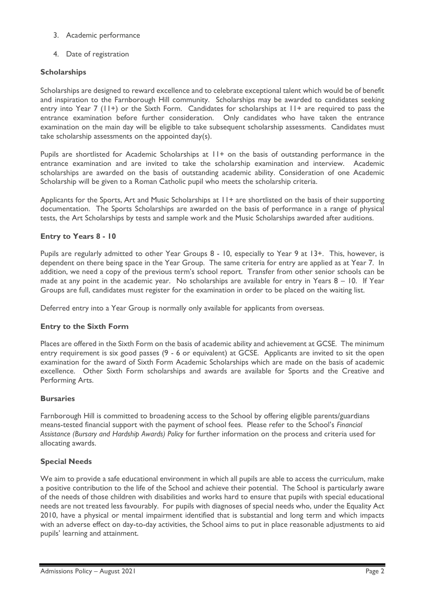- 3. Academic performance
- 4. Date of registration

# **Scholarships**

Scholarships are designed to reward excellence and to celebrate exceptional talent which would be of benefit and inspiration to the Farnborough Hill community. Scholarships may be awarded to candidates seeking entry into Year 7 (11+) or the Sixth Form. Candidates for scholarships at 11+ are required to pass the entrance examination before further consideration. Only candidates who have taken the entrance examination on the main day will be eligible to take subsequent scholarship assessments. Candidates must take scholarship assessments on the appointed day(s).

Pupils are shortlisted for Academic Scholarships at 11+ on the basis of outstanding performance in the entrance examination and are invited to take the scholarship examination and interview. Academic scholarships are awarded on the basis of outstanding academic ability. Consideration of one Academic Scholarship will be given to a Roman Catholic pupil who meets the scholarship criteria.

Applicants for the Sports, Art and Music Scholarships at 11+ are shortlisted on the basis of their supporting documentation. The Sports Scholarships are awarded on the basis of performance in a range of physical tests, the Art Scholarships by tests and sample work and the Music Scholarships awarded after auditions.

## **Entry to Years 8 - 10**

Pupils are regularly admitted to other Year Groups 8 - 10, especially to Year 9 at 13+. This, however, is dependent on there being space in the Year Group. The same criteria for entry are applied as at Year 7. In addition, we need a copy of the previous term's school report. Transfer from other senior schools can be made at any point in the academic year. No scholarships are available for entry in Years 8 – 10. If Year Groups are full, candidates must register for the examination in order to be placed on the waiting list.

Deferred entry into a Year Group is normally only available for applicants from overseas.

## **Entry to the Sixth Form**

Places are offered in the Sixth Form on the basis of academic ability and achievement at GCSE. The minimum entry requirement is six good passes (9 - 6 or equivalent) at GCSE. Applicants are invited to sit the open examination for the award of Sixth Form Academic Scholarships which are made on the basis of academic excellence. Other Sixth Form scholarships and awards are available for Sports and the Creative and Performing Arts.

## **Bursaries**

Farnborough Hill is committed to broadening access to the School by offering eligible parents/guardians means-tested financial support with the payment of school fees. Please refer to the School's *Financial Assistance (Bursary and Hardship Awards) Policy* for further information on the process and criteria used for allocating awards.

## **Special Needs**

We aim to provide a safe educational environment in which all pupils are able to access the curriculum, make a positive contribution to the life of the School and achieve their potential. The School is particularly aware of the needs of those children with disabilities and works hard to ensure that pupils with special educational needs are not treated less favourably. For pupils with diagnoses of special needs who, under the Equality Act 2010, have a physical or mental impairment identified that is substantial and long term and which impacts with an adverse effect on day-to-day activities, the School aims to put in place reasonable adjustments to aid pupils' learning and attainment.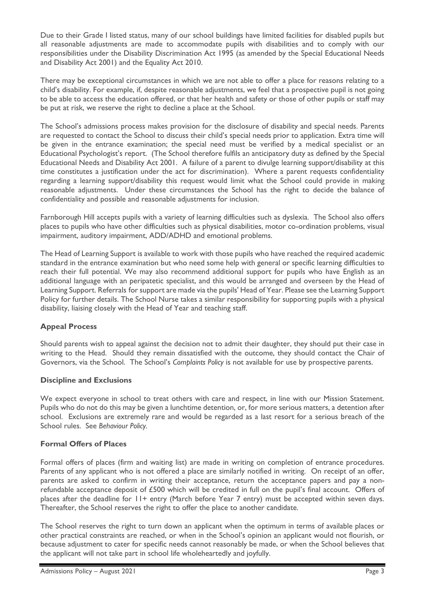Due to their Grade I listed status, many of our school buildings have limited facilities for disabled pupils but all reasonable adjustments are made to accommodate pupils with disabilities and to comply with our responsibilities under the Disability Discrimination Act 1995 (as amended by the Special Educational Needs and Disability Act 2001) and the Equality Act 2010.

There may be exceptional circumstances in which we are not able to offer a place for reasons relating to a child's disability. For example, if, despite reasonable adjustments, we feel that a prospective pupil is not going to be able to access the education offered, or that her health and safety or those of other pupils or staff may be put at risk, we reserve the right to decline a place at the School.

The School's admissions process makes provision for the disclosure of disability and special needs. Parents are requested to contact the School to discuss their child's special needs prior to application. Extra time will be given in the entrance examination; the special need must be verified by a medical specialist or an Educational Psychologist's report. (The School therefore fulfils an anticipatory duty as defined by the Special Educational Needs and Disability Act 2001. A failure of a parent to divulge learning support/disability at this time constitutes a justification under the act for discrimination). Where a parent requests confidentiality regarding a learning support/disability this request would limit what the School could provide in making reasonable adjustments. Under these circumstances the School has the right to decide the balance of confidentiality and possible and reasonable adjustments for inclusion.

Farnborough Hill accepts pupils with a variety of learning difficulties such as dyslexia. The School also offers places to pupils who have other difficulties such as physical disabilities, motor co-ordination problems, visual impairment, auditory impairment, ADD/ADHD and emotional problems.

The Head of Learning Support is available to work with those pupils who have reached the required academic standard in the entrance examination but who need some help with general or specific learning difficulties to reach their full potential. We may also recommend additional support for pupils who have English as an additional language with an peripatetic specialist, and this would be arranged and overseen by the Head of Learning Support. Referrals for support are made via the pupils' Head of Year. Please see the Learning Support Policy for further details. The School Nurse takes a similar responsibility for supporting pupils with a physical disability, liaising closely with the Head of Year and teaching staff.

# **Appeal Process**

Should parents wish to appeal against the decision not to admit their daughter, they should put their case in writing to the Head. Should they remain dissatisfied with the outcome, they should contact the Chair of Governors, via the School. The School's *Complaints Policy* is not available for use by prospective parents.

## **Discipline and Exclusions**

We expect everyone in school to treat others with care and respect, in line with our Mission Statement. Pupils who do not do this may be given a lunchtime detention, or, for more serious matters, a detention after school. Exclusions are extremely rare and would be regarded as a last resort for a serious breach of the School rules. See *Behaviour Policy.*

## **Formal Offers of Places**

Formal offers of places (firm and waiting list) are made in writing on completion of entrance procedures. Parents of any applicant who is not offered a place are similarly notified in writing. On receipt of an offer, parents are asked to confirm in writing their acceptance, return the acceptance papers and pay a nonrefundable acceptance deposit of £500 which will be credited in full on the pupil's final account. Offers of places after the deadline for 11+ entry (March before Year 7 entry) must be accepted within seven days. Thereafter, the School reserves the right to offer the place to another candidate.

The School reserves the right to turn down an applicant when the optimum in terms of available places or other practical constraints are reached, or when in the School's opinion an applicant would not flourish, or because adjustment to cater for specific needs cannot reasonably be made, or when the School believes that the applicant will not take part in school life wholeheartedly and joyfully.